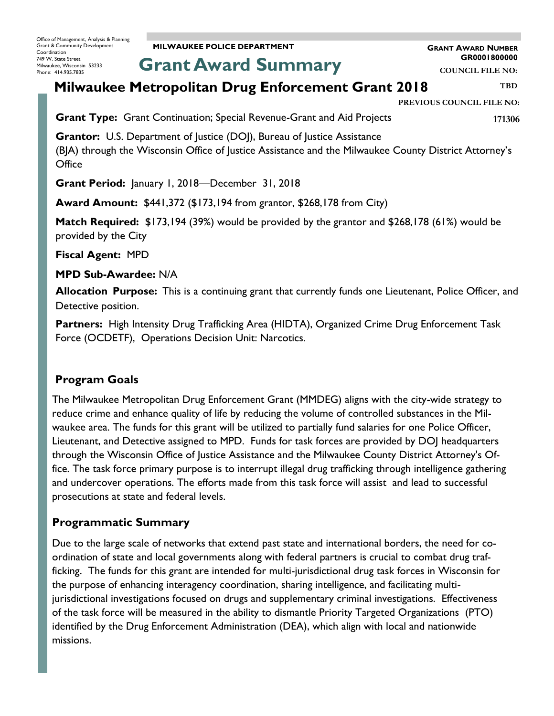**MILWAUKEE POLICE DEPARTMENT**

**GRANT AWARD NUMBER GR0001800000**

**COUNCIL FILE NO:**

**Grant Award Summary**

# **Milwaukee Metropolitan Drug Enforcement Grant 2018**

**PREVIOUS COUNCIL FILE NO:**

**Grant Type:** Grant Continuation; Special Revenue-Grant and Aid Projects

**171306**

**TBD**

**Grantor:** U.S. Department of Justice (DOJ), Bureau of Justice Assistance (BJA) through the Wisconsin Office of Justice Assistance and the Milwaukee County District Attorney's **Office** 

**Grant Period:** January 1, 2018—December 31, 2018

**Award Amount:** \$441,372 (\$173,194 from grantor, \$268,178 from City)

**Match Required:** \$173,194 (39%) would be provided by the grantor and \$268,178 (61%) would be provided by the City

**Fiscal Agent:** MPD

**MPD Sub-Awardee:** N/A

**Allocation Purpose:** This is a continuing grant that currently funds one Lieutenant, Police Officer, and Detective position.

**Partners:** High Intensity Drug Trafficking Area (HIDTA), Organized Crime Drug Enforcement Task Force (OCDETF), Operations Decision Unit: Narcotics.

### **Program Goals**

The Milwaukee Metropolitan Drug Enforcement Grant (MMDEG) aligns with the city-wide strategy to reduce crime and enhance quality of life by reducing the volume of controlled substances in the Milwaukee area. The funds for this grant will be utilized to partially fund salaries for one Police Officer, Lieutenant, and Detective assigned to MPD. Funds for task forces are provided by DOJ headquarters through the Wisconsin Office of Justice Assistance and the Milwaukee County District Attorney's Office. The task force primary purpose is to interrupt illegal drug trafficking through intelligence gathering and undercover operations. The efforts made from this task force will assist and lead to successful prosecutions at state and federal levels.

### **Programmatic Summary**

Due to the large scale of networks that extend past state and international borders, the need for coordination of state and local governments along with federal partners is crucial to combat drug trafficking. The funds for this grant are intended for multi-jurisdictional drug task forces in Wisconsin for the purpose of enhancing interagency coordination, sharing intelligence, and facilitating multijurisdictional investigations focused on drugs and supplementary criminal investigations. Effectiveness of the task force will be measured in the ability to dismantle Priority Targeted Organizations (PTO) identified by the Drug Enforcement Administration (DEA), which align with local and nationwide missions.